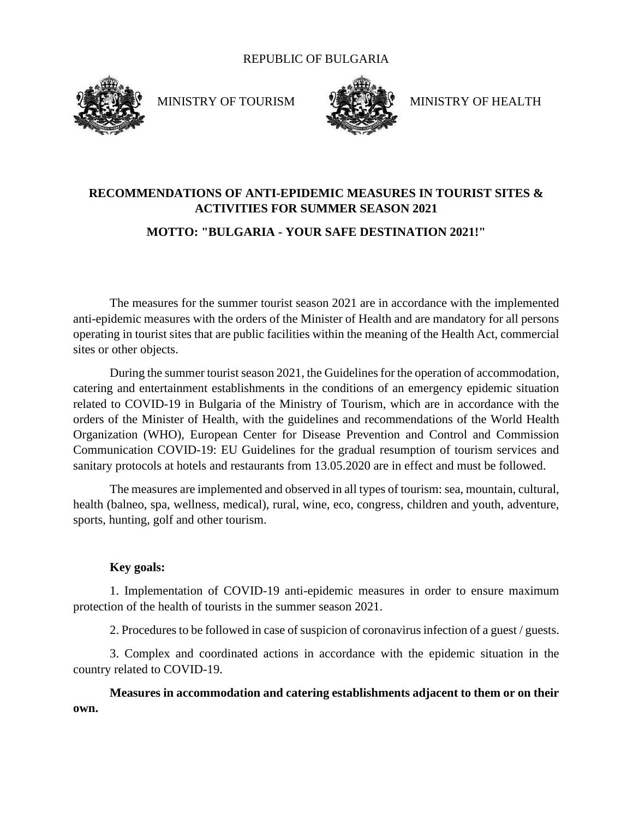#### REPUBLIC OF BULGARIA



MINISTRY OF TOURISM WELL MINISTRY OF HEALTH



# **RECOMMENDATIONS OF ANTI-EPIDEMIC MEASURES IN TOURIST SITES & ACTIVITIES FOR SUMMER SEASON 2021**

### **MOTTO: "BULGARIA - YOUR SAFE DESTINATION 2021!"**

The measures for the summer tourist season 2021 are in accordance with the implemented anti-epidemic measures with the orders of the Minister of Health and are mandatory for all persons operating in tourist sites that are public facilities within the meaning of the Health Act, commercial sites or other objects.

During the summer tourist season 2021, the Guidelines for the operation of accommodation, catering and entertainment establishments in the conditions of an emergency epidemic situation related to COVID-19 in Bulgaria of the Ministry of Tourism, which are in accordance with the orders of the Minister of Health, with the guidelines and recommendations of the World Health Organization (WHO), European Center for Disease Prevention and Control and Commission Communication COVID-19: EU Guidelines for the gradual resumption of tourism services and sanitary protocols at hotels and restaurants from 13.05.2020 are in effect and must be followed.

The measures are implemented and observed in all types of tourism: sea, mountain, cultural, health (balneo, spa, wellness, medical), rural, wine, eco, congress, children and youth, adventure, sports, hunting, golf and other tourism.

#### **Key goals:**

1. Implementation of COVID-19 anti-epidemic measures in order to ensure maximum protection of the health of tourists in the summer season 2021.

2. Procedures to be followed in case of suspicion of coronavirus infection of a guest / guests.

3. Complex and coordinated actions in accordance with the epidemic situation in the country related to COVID-19.

**Measures in accommodation and catering establishments adjacent to them or on their own.**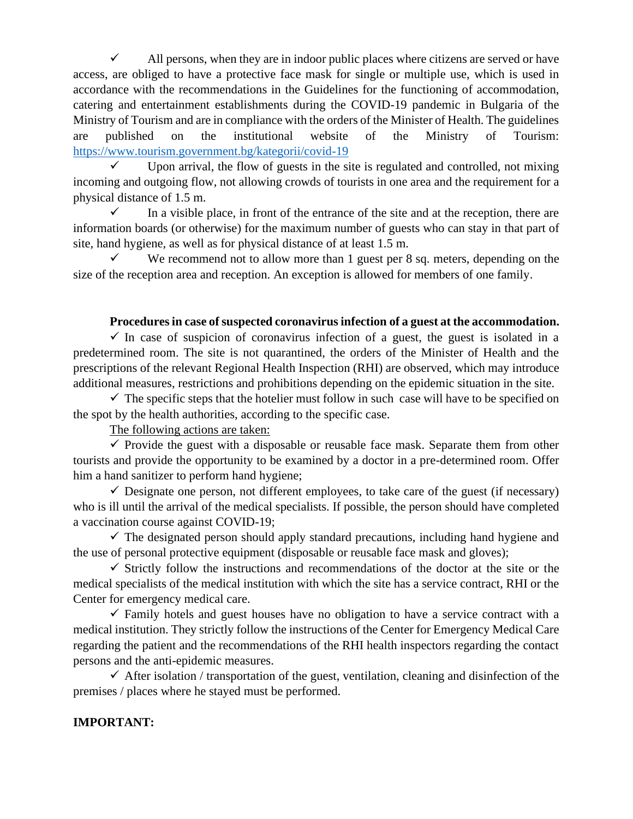$\checkmark$  All persons, when they are in indoor public places where citizens are served or have access, are obliged to have a protective face mask for single or multiple use, which is used in accordance with the recommendations in the Guidelines for the functioning of accommodation, catering and entertainment establishments during the COVID-19 pandemic in Bulgaria of the Ministry of Tourism and are in compliance with the orders of the Minister of Health. The guidelines are published on the institutional website of the Ministry of Tourism: <https://www.tourism.government.bg/kategorii/covid-19>

 $\checkmark$  Upon arrival, the flow of guests in the site is regulated and controlled, not mixing incoming and outgoing flow, not allowing crowds of tourists in one area and the requirement for a physical distance of 1.5 m.

 $\checkmark$  In a visible place, in front of the entrance of the site and at the reception, there are information boards (or otherwise) for the maximum number of guests who can stay in that part of site, hand hygiene, as well as for physical distance of at least 1.5 m.

We recommend not to allow more than 1 guest per 8 sq. meters, depending on the size of the reception area and reception. An exception is allowed for members of one family.

#### **Procedures in case of suspected coronavirus infection of a guest at the accommodation.**

 $\checkmark$  In case of suspicion of coronavirus infection of a guest, the guest is isolated in a predetermined room. The site is not quarantined, the orders of the Minister of Health and the prescriptions of the relevant Regional Health Inspection (RHI) are observed, which may introduce additional measures, restrictions and prohibitions depending on the epidemic situation in the site.

 $\checkmark$  The specific steps that the hotelier must follow in such case will have to be specified on the spot by the health authorities, according to the specific case.

The following actions are taken:

 $\checkmark$  Provide the guest with a disposable or reusable face mask. Separate them from other tourists and provide the opportunity to be examined by a doctor in a pre-determined room. Offer him a hand sanitizer to perform hand hygiene;

 $\checkmark$  Designate one person, not different employees, to take care of the guest (if necessary) who is ill until the arrival of the medical specialists. If possible, the person should have completed a vaccination course against COVID-19;

 $\checkmark$  The designated person should apply standard precautions, including hand hygiene and the use of personal protective equipment (disposable or reusable face mask and gloves);

 $\checkmark$  Strictly follow the instructions and recommendations of the doctor at the site or the medical specialists of the medical institution with which the site has a service contract, RHI or the Center for emergency medical care.

 $\checkmark$  Family hotels and guest houses have no obligation to have a service contract with a medical institution. They strictly follow the instructions of the Center for Emergency Medical Care regarding the patient and the recommendations of the RHI health inspectors regarding the contact persons and the anti-epidemic measures.

 $\checkmark$  After isolation / transportation of the guest, ventilation, cleaning and disinfection of the premises / places where he stayed must be performed.

## **IMPORTANT:**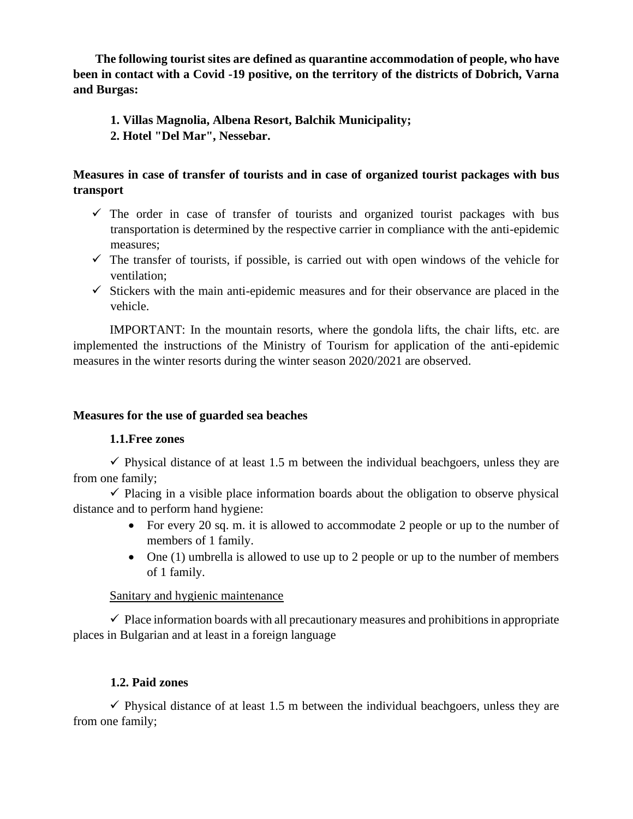**The following tourist sites are defined as quarantine accommodation of people, who have been in contact with a Covid -19 positive, on the territory of the districts of Dobrich, Varna and Burgas:**

**1. Villas Magnolia, Albena Resort, Balchik Municipality; 2. Hotel "Del Mar", Nessebar.**

## **Measures in case of transfer of tourists and in case of organized tourist packages with bus transport**

- $\checkmark$  The order in case of transfer of tourists and organized tourist packages with bus transportation is determined by the respective carrier in compliance with the anti-epidemic measures;
- $\checkmark$  The transfer of tourists, if possible, is carried out with open windows of the vehicle for ventilation;
- $\checkmark$  Stickers with the main anti-epidemic measures and for their observance are placed in the vehicle.

IMPORTANT: In the mountain resorts, where the gondola lifts, the chair lifts, etc. are implemented the instructions of the Ministry of Tourism for application of the anti-epidemic measures in the winter resorts during the winter season 2020/2021 are observed.

### **Measures for the use of guarded sea beaches**

#### **1.1.Free zones**

 $\checkmark$  Physical distance of at least 1.5 m between the individual beachgoers, unless they are from one family;

 $\checkmark$  Placing in a visible place information boards about the obligation to observe physical distance and to perform hand hygiene:

- For every 20 sq. m. it is allowed to accommodate 2 people or up to the number of members of 1 family.
- One (1) umbrella is allowed to use up to 2 people or up to the number of members of 1 family.

#### Sanitary and hygienic maintenance

 $\checkmark$  Place information boards with all precautionary measures and prohibitions in appropriate places in Bulgarian and at least in a foreign language

## **1.2. Paid zones**

 $\checkmark$  Physical distance of at least 1.5 m between the individual beachgoers, unless they are from one family;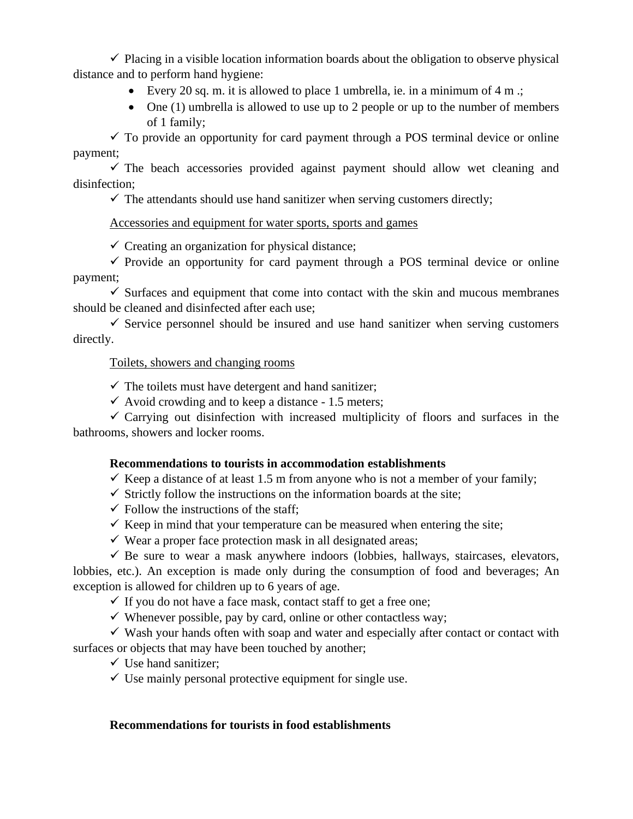$\checkmark$  Placing in a visible location information boards about the obligation to observe physical distance and to perform hand hygiene:

- Every 20 sq. m. it is allowed to place 1 umbrella, ie. in a minimum of 4 m .;
- One (1) umbrella is allowed to use up to 2 people or up to the number of members of 1 family;

 $\checkmark$  To provide an opportunity for card payment through a POS terminal device or online payment;

 $\checkmark$  The beach accessories provided against payment should allow wet cleaning and disinfection;

 $\checkmark$  The attendants should use hand sanitizer when serving customers directly;

## Accessories and equipment for water sports, sports and games

 $\checkmark$  Creating an organization for physical distance;

 $\checkmark$  Provide an opportunity for card payment through a POS terminal device or online payment;

 $\checkmark$  Surfaces and equipment that come into contact with the skin and mucous membranes should be cleaned and disinfected after each use;

 $\checkmark$  Service personnel should be insured and use hand sanitizer when serving customers directly.

## Toilets, showers and changing rooms

 $\checkmark$  The toilets must have detergent and hand sanitizer;

 $\checkmark$  Avoid crowding and to keep a distance - 1.5 meters;

 $\checkmark$  Carrying out disinfection with increased multiplicity of floors and surfaces in the bathrooms, showers and locker rooms.

## **Recommendations to tourists in accommodation establishments**

- $\checkmark$  Keep a distance of at least 1.5 m from anyone who is not a member of your family;
- $\checkmark$  Strictly follow the instructions on the information boards at the site;
- $\checkmark$  Follow the instructions of the staff;
- $\checkmark$  Keep in mind that your temperature can be measured when entering the site;
- $\checkmark$  Wear a proper face protection mask in all designated areas;

 $\checkmark$  Be sure to wear a mask anywhere indoors (lobbies, hallways, staircases, elevators, lobbies, etc.). An exception is made only during the consumption of food and beverages; An exception is allowed for children up to 6 years of age.

 $\checkmark$  If you do not have a face mask, contact staff to get a free one;

 $\checkmark$  Whenever possible, pay by card, online or other contactless way;

 $\checkmark$  Wash your hands often with soap and water and especially after contact or contact with surfaces or objects that may have been touched by another;

 $\checkmark$  Use hand sanitizer;

 $\checkmark$  Use mainly personal protective equipment for single use.

## **Recommendations for tourists in food establishments**